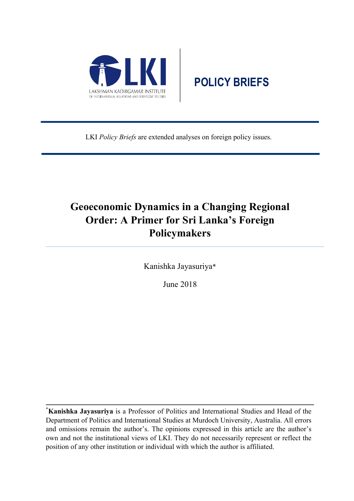

# **POLICY BRIEFS**

LKI *Policy Briefs* are extended analyses on foreign policy issues.

## **Geoeconomic Dynamics in a Changing Regional Order: A Primer for Sri Lanka's Foreign Policymakers**

Kanishka Jayasuriya\*

June 2018

**\* Kanishka Jayasuriya** is a Professor of Politics and International Studies and Head of the Department of Politics and International Studies at Murdoch University, Australia. All errors and omissions remain the author's. The opinions expressed in this article are the author's own and not the institutional views of LKI. They do not necessarily represent or reflect the position of any other institution or individual with which the author is affiliated.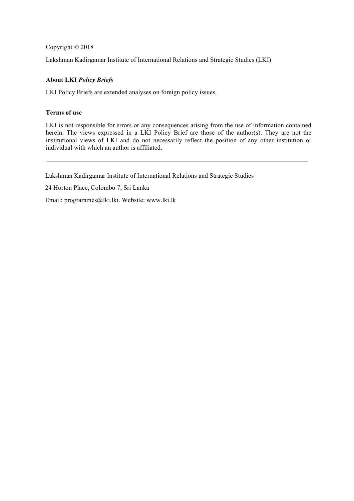Copyright © 2018

Lakshman Kadirgamar Institute of International Relations and Strategic Studies (LKI)

#### **About LKI** *Policy Briefs*

LKI Policy Briefs are extended analyses on foreign policy issues.

#### **Terms of use**

LKI is not responsible for errors or any consequences arising from the use of information contained herein. The views expressed in a LKI Policy Brief are those of the author(s). They are not the institutional views of LKI and do not necessarily reflect the position of any other institution or individual with which an author is affiliated.

Lakshman Kadirgamar Institute of International Relations and Strategic Studies

24 Horton Place, Colombo 7, Sri Lanka

Email: programmes@lki.lki. Website: www.lki.lk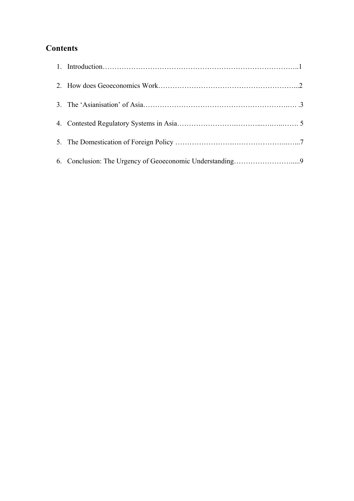## **Contents**

| 6. Conclusion: The Urgency of Geoeconomic Understanding9 |  |
|----------------------------------------------------------|--|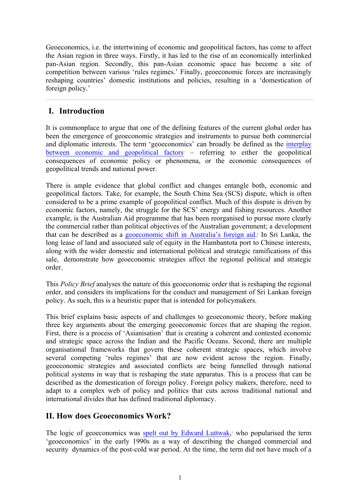Geoeconomics, i.e. the intertwining of economic and geopolitical factors, has come to affect the Asian region in three ways. Firstly, it has led to the rise of an economically interlinked pan-Asian region. Secondly, this pan-Asian economic space has become a site of competition between various 'rules regimes.' Finally, geoeconomic forces are increasingly reshaping countries' domestic institutions and policies, resulting in a 'domestication of foreign policy.'

## **I. Introduction**

It is commonplace to argue that one of the defining features of the current global order has been the emergence of geoeconomic strategies and instruments to pursue both commercial and diplomatic interests. The term 'geoeconomics' can broadly be defined as the interplay between economic and geopolitical factors<sup> $1$ </sup> – referring to either the geopolitical consequences of economic policy or phenomena, or the economic consequences of geopolitical trends and national power.

There is ample evidence that global conflict and changes entangle both, economic and geopolitical factors. Take, for example, the South China Sea (SCS) dispute, which is often considered to be a prime example of geopolitical conflict. Much of this dispute is driven by economic factors, namely, the struggle for the SCS' energy and fishing resources. Another example, is the Australian Aid programme that has been reorganised to pursue more clearly the commercial rather than political objectives of the Australian government; a development that can be described as a geoeconomic shift in Australia's foreign aid. <sup>2</sup> In Sri Lanka, the long lease of land and associated sale of equity in the Hambantota port to Chinese interests, along with the wider domestic and international political and strategic ramifications of this sale, demonstrate how geoeconomic strategies affect the regional political and strategic order.

This *Policy Brief* analyses the nature of this geoeconomic order that is reshaping the regional order, and considers its implications for the conduct and management of Sri Lankan foreign policy. As such, this is a heuristic paper that is intended for policymakers.

This brief explains basic aspects of and challenges to geoeconomic theory, before making three key arguments about the emerging geoeconomic forces that are shaping the region. First, there is a process of 'Asianisation' that is creating a coherent and contested economic and strategic space across the Indian and the Pacific Oceans. Second, there are multiple organisational frameworks that govern these coherent strategic spaces, which involve several competing 'rules regimes' that are now evident across the region. Finally, geoeconomic strategies and associated conflicts are being funnelled through national political systems in way that is reshaping the state apparatus. This is a process that can be described as the domestication of foreign policy. Foreign policy makers, therefore, need to adapt to a complex web of policy and politics that cuts across traditional national and international divides that has defined traditional diplomacy.

## **II. How does Geoeconomics Work?**

The logic of geoeconomics was spelt out by Edward Luttwak,<sup>3</sup> who popularised the term 'geoeconomics' in the early 1990s as a way of describing the changed commercial and security dynamics of the post-cold war period. At the time, the term did not have much of a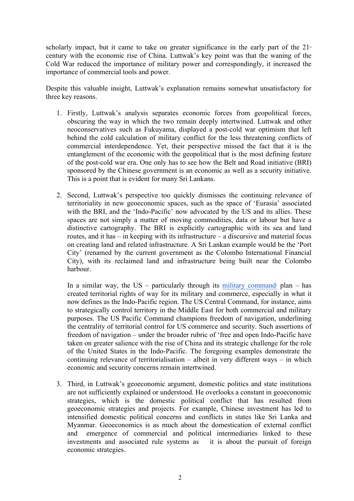scholarly impact, but it came to take on greater significance in the early part of the  $21<sup>*</sup>$ century with the economic rise of China. Luttwak's key point was that the waning of the Cold War reduced the importance of military power and correspondingly, it increased the importance of commercial tools and power.

Despite this valuable insight, Luttwak's explanation remains somewhat unsatisfactory for three key reasons.

- 1. Firstly, Luttwak's analysis separates economic forces from geopolitical forces, obscuring the way in which the two remain deeply intertwined. Luttwak and other neoconservatives such as Fukuyama, displayed a post-cold war optimism that left behind the cold calculation of military conflict for the less threatening conflicts of commercial interdependence. Yet, their perspective missed the fact that it is the entanglement of the economic with the geopolitical that is the most defining feature of the post-cold war era. One only has to see how the Belt and Road initiative (BRI) sponsored by the Chinese government is an economic as well as a security initiative. This is a point that is evident for many Sri Lankans.
- 2. Second, Luttwak's perspective too quickly dismisses the continuing relevance of territoriality in new geoeconomic spaces, such as the space of 'Eurasia' associated with the BRI, and the 'Indo-Pacific' now advocated by the US and its allies. These spaces are not simply a matter of moving commodities, data or labour but have a distinctive cartography. The BRI is explicitly cartographic with its sea and land routes, and it has – in keeping with its infrastructure – a discursive and material focus on creating land and related infrastructure. A Sri Lankan example would be the 'Port City' (renamed by the current government as the Colombo International Financial City), with its reclaimed land and infrastructure being built near the Colombo harbour.

In a similar way, the US – particularly through its military command<sup>4</sup> plan – has created territorial rights of way for its military and commerce, especially in what it now defines as the Indo-Pacific region. The US Central Command, for instance, aims to strategically control territory in the Middle East for both commercial and military purposes. The US Pacific Command champions freedom of navigation, underlining the centrality of territorial control for US commerce and security. Such assertions of freedom of navigation – under the broader rubric of 'free and open Indo-Pacific have taken on greater salience with the rise of China and its strategic challenge for the role of the United States in the Indo-Pacific. The foregoing examples demonstrate the continuing relevance of territorialisation – albeit in very different ways – in which economic and security concerns remain intertwined.

3. Third, in Luttwak's geoeconomic argument, domestic politics and state institutions are not sufficiently explained or understood. He overlooks a constant in geoeconomic strategies, which is the domestic political conflict that has resulted from geoeconomic strategies and projects. For example, Chinese investment has led to intensified domestic political concerns and conflicts in states like Sri Lanka and Myanmar. Geoeconomics is as much about the domestication of external conflict and emergence of commercial and political intermediaries linked to these investments and associated rule systems as it is about the pursuit of foreign economic strategies.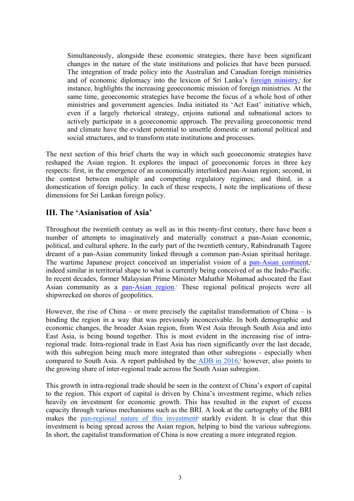Simultaneously, alongside these economic strategies, there have been significant changes in the nature of the state institutions and policies that have been pursued. The integration of trade policy into the Australian and Canadian foreign ministries and of economic diplomacy into the lexicon of Sri Lanka's foreign ministry,<sup>5</sup> for instance, highlights the increasing geoeconomic mission of foreign ministries. At the same time, geoeconomic strategies have become the focus of a whole host of other ministries and government agencies. India initiated its 'Act East' initiative which, even if a largely rhetorical strategy, enjoins national and subnational actors to actively participate in a geoeconomic approach. The prevailing geoeconomic trend and climate have the evident potential to unsettle domestic or national political and social structures, and to transform state institutions and processes.

The next section of this brief charts the way in which such geoeconomic strategies have reshaped the Asian region. It explores the impact of geoeconomic forces in three key respects: first, in the emergence of an economically interlinked pan-Asian region; second, in the contest between multiple and competing regulatory regimes; and third, in a domestication of foreign policy. In each of these respects, I note the implications of these dimensions for Sri Lankan foreign policy.

## **III. The 'Asianisation of Asia'**

Throughout the twentieth century as well as in this twenty-first century, there have been a number of attempts to imaginatively and materially construct a pan-Asian economic, political, and cultural sphere. In the early part of the twentieth century, Rabindranath Tagore dreamt of a pan-Asian community linked through a common pan-Asian spiritual heritage. The wartime Japanese project conceived an imperialist vision of a pan-Asian continent,<sup>6</sup> indeed similar in territorial shape to what is currently being conceived of as the Indo-Pacific. In recent decades, former Malaysian Prime Minister Mahathir Mohamad advocated the East Asian community as a pan-Asian region.<sup>7</sup> These regional political projects were all shipwrecked on shores of geopolitics.

However, the rise of China – or more precisely the capitalist transformation of China – is binding the region in a way that was previously inconceivable. In both demographic and economic changes, the broader Asian region, from West Asia through South Asia and into East Asia, is being bound together. This is most evident in the increasing rise of intraregional trade. Intra-regional trade in East Asia has risen significantly over the last decade, with this subregion being much more integrated than other subregions - especially when compared to South Asia. A report published by the **ADB** in 2016,<sup>8</sup> however, also points to the growing share of inter-regional trade across the South Asian subregion.

This growth in intra-regional trade should be seen in the context of China's export of capital to the region. This export of capital is driven by China's investment regime, which relies heavily on investment for economic growth. This has resulted in the export of excess capacity through various mechanisms such as the BRI. A look at the cartography of the BRI makes the pan-regional nature of this investment starkly evident. It is clear that this investment is being spread across the Asian region, helping to bind the various subregions. In short, the capitalist transformation of China is now creating a more integrated region.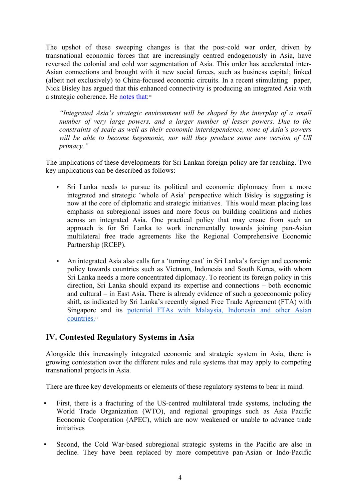The upshot of these sweeping changes is that the post-cold war order, driven by transnational economic forces that are increasingly centred endogenously in Asia, have reversed the colonial and cold war segmentation of Asia. This order has accelerated inter-Asian connections and brought with it new social forces, such as business capital; linked (albeit not exclusively) to China-focused economic circuits. In a recent stimulating paper, Nick Bisley has argued that this enhanced connectivity is producing an integrated Asia with a strategic coherence. He notes that:<sup>10</sup>

*"Integrated Asia's strategic environment will be shaped by the interplay of a small number of very large powers, and a larger number of lesser powers. Due to the constraints of scale as well as their economic interdependence, none of Asia's powers will be able to become hegemonic, nor will they produce some new version of US primacy."*

The implications of these developments for Sri Lankan foreign policy are far reaching. Two key implications can be described as follows:

- Sri Lanka needs to pursue its political and economic diplomacy from a more integrated and strategic 'whole of Asia' perspective which Bisley is suggesting is now at the core of diplomatic and strategic initiatives. This would mean placing less emphasis on subregional issues and more focus on building coalitions and niches across an integrated Asia. One practical policy that may ensue from such an approach is for Sri Lanka to work incrementally towards joining pan-Asian multilateral free trade agreements like the Regional Comprehensive Economic Partnership (RCEP).
- An integrated Asia also calls for a 'turning east' in Sri Lanka's foreign and economic policy towards countries such as Vietnam, Indonesia and South Korea, with whom Sri Lanka needs a more concentrated diplomacy. To reorient its foreign policy in this direction, Sri Lanka should expand its expertise and connections – both economic and cultural – in East Asia. There is already evidence of such a geoeconomic policy shift, as indicated by Sri Lanka's recently signed Free Trade Agreement (FTA) with Singapore and its potential FTAs with Malaysia, Indonesia and other Asian countries.<sup>11</sup>

## **IV. Contested Regulatory Systems in Asia**

Alongside this increasingly integrated economic and strategic system in Asia, there is growing contestation over the different rules and rule systems that may apply to competing transnational projects in Asia.

There are three key developments or elements of these regulatory systems to bear in mind.

- First, there is a fracturing of the US-centred multilateral trade systems, including the World Trade Organization (WTO), and regional groupings such as Asia Pacific Economic Cooperation (APEC), which are now weakened or unable to advance trade initiatives
- Second, the Cold War-based subregional strategic systems in the Pacific are also in decline. They have been replaced by more competitive pan-Asian or Indo-Pacific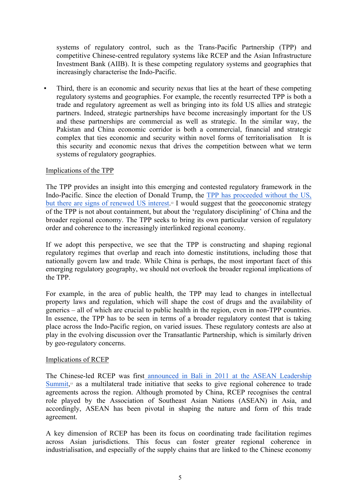systems of regulatory control, such as the Trans-Pacific Partnership (TPP) and competitive Chinese-centred regulatory systems like RCEP and the Asian Infrastructure Investment Bank (AIIB). It is these competing regulatory systems and geographies that increasingly characterise the Indo-Pacific.

▪ Third, there is an economic and security nexus that lies at the heart of these competing regulatory systems and geographies. For example, the recently resurrected TPP is both a trade and regulatory agreement as well as bringing into its fold US allies and strategic partners. Indeed, strategic partnerships have become increasingly important for the US and these partnerships are commercial as well as strategic. In the similar way, the Pakistan and China economic corridor is both a commercial, financial and strategic complex that ties economic and security within novel forms of territorialisation It is this security and economic nexus that drives the competition between what we term systems of regulatory geographies.

#### Implications of the TPP

The TPP provides an insight into this emerging and contested regulatory framework in the Indo-Pacific. Since the election of Donald Trump, the TPP has proceeded without the US, but there are signs of renewed US interest.<sup>12</sup> I would suggest that the geoeconomic strategy of the TPP is not about containment, but about the 'regulatory disciplining' of China and the broader regional economy. The TPP seeks to bring its own particular version of regulatory order and coherence to the increasingly interlinked regional economy.

If we adopt this perspective, we see that the TPP is constructing and shaping regional regulatory regimes that overlap and reach into domestic institutions, including those that nationally govern law and trade. While China is perhaps, the most important facet of this emerging regulatory geography, we should not overlook the broader regional implications of the TPP.

For example, in the area of public health, the TPP may lead to changes in intellectual property laws and regulation, which will shape the cost of drugs and the availability of generics – all of which are crucial to public health in the region, even in non-TPP countries. In essence, the TPP has to be seen in terms of a broader regulatory contest that is taking place across the Indo-Pacific region, on varied issues. These regulatory contests are also at play in the evolving discussion over the Transatlantic Partnership, which is similarly driven by geo-regulatory concerns.

#### Implications of RCEP

The Chinese-led RCEP was first announced in Bali in 2011 at the ASEAN Leadership Summit,<sup>13</sup> as a multilateral trade initiative that seeks to give regional coherence to trade agreements across the region. Although promoted by China, RCEP recognises the central role played by the Association of Southeast Asian Nations (ASEAN) in Asia, and accordingly, ASEAN has been pivotal in shaping the nature and form of this trade agreement.

A key dimension of RCEP has been its focus on coordinating trade facilitation regimes across Asian jurisdictions. This focus can foster greater regional coherence in industrialisation, and especially of the supply chains that are linked to the Chinese economy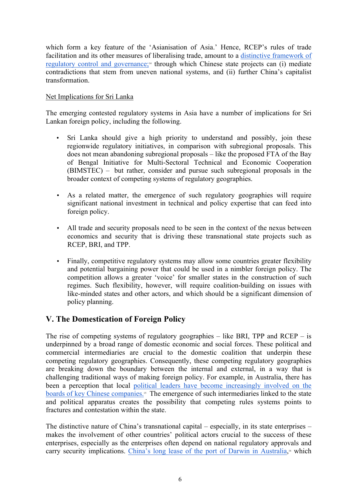which form a key feature of the 'Asianisation of Asia.' Hence, RCEP's rules of trade facilitation and its other measures of liberalising trade, amount to a distinctive framework of regulatory control and governance;14 through which Chinese state projects can (i) mediate contradictions that stem from uneven national systems, and (ii) further China's capitalist transformation.

#### Net Implications for Sri Lanka

The emerging contested regulatory systems in Asia have a number of implications for Sri Lankan foreign policy, including the following.

- Sri Lanka should give a high priority to understand and possibly, join these regionwide regulatory initiatives, in comparison with subregional proposals. This does not mean abandoning subregional proposals – like the proposed FTA of the Bay of Bengal Initiative for Multi-Sectoral Technical and Economic Cooperation (BIMSTEC) – but rather, consider and pursue such subregional proposals in the broader context of competing systems of regulatory geographies.
- As a related matter, the emergence of such regulatory geographies will require significant national investment in technical and policy expertise that can feed into foreign policy.
- All trade and security proposals need to be seen in the context of the nexus between economics and security that is driving these transnational state projects such as RCEP, BRI, and TPP.
- Finally, competitive regulatory systems may allow some countries greater flexibility and potential bargaining power that could be used in a nimbler foreign policy. The competition allows a greater 'voice' for smaller states in the construction of such regimes. Such flexibility, however, will require coalition-building on issues with like-minded states and other actors, and which should be a significant dimension of policy planning.

### **V. The Domestication of Foreign Policy**

The rise of competing systems of regulatory geographies – like BRI, TPP and  $RCEP - is$ underpinned by a broad range of domestic economic and social forces. These political and commercial intermediaries are crucial to the domestic coalition that underpin these competing regulatory geographies. Consequently, these competing regulatory geographies are breaking down the boundary between the internal and external, in a way that is challenging traditional ways of making foreign policy. For example, in Australia, there has been a perception that local political leaders have become increasingly involved on the boards of key Chinese companies.<sup>15</sup> The emergence of such intermediaries linked to the state and political apparatus creates the possibility that competing rules systems points to fractures and contestation within the state.

The distinctive nature of China's transnational capital – especially, in its state enterprises – makes the involvement of other countries' political actors crucial to the success of these enterprises, especially as the enterprises often depend on national regulatory approvals and carry security implications. China's long lease of the port of Darwin in Australia,<sup>16</sup> which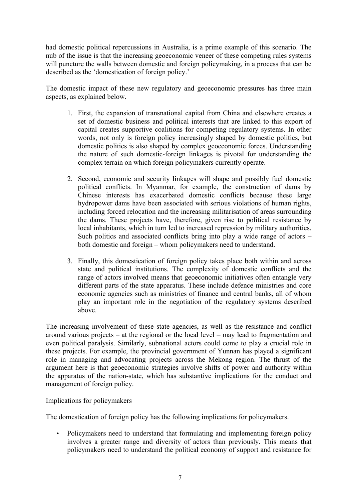had domestic political repercussions in Australia, is a prime example of this scenario. The nub of the issue is that the increasing geoeconomic veneer of these competing rules systems will puncture the walls between domestic and foreign policymaking, in a process that can be described as the 'domestication of foreign policy.'

The domestic impact of these new regulatory and geoeconomic pressures has three main aspects, as explained below.

- 1. First, the expansion of transnational capital from China and elsewhere creates a set of domestic business and political interests that are linked to this export of capital creates supportive coalitions for competing regulatory systems. In other words, not only is foreign policy increasingly shaped by domestic politics, but domestic politics is also shaped by complex geoeconomic forces. Understanding the nature of such domestic-foreign linkages is pivotal for understanding the complex terrain on which foreign policymakers currently operate.
- 2. Second, economic and security linkages will shape and possibly fuel domestic political conflicts. In Myanmar, for example, the construction of dams by Chinese interests has exacerbated domestic conflicts because these large hydropower dams have been associated with serious violations of human rights, including forced relocation and the increasing militarisation of areas surrounding the dams. These projects have, therefore, given rise to political resistance by local inhabitants, which in turn led to increased repression by military authorities. Such politics and associated conflicts bring into play a wide range of actors – both domestic and foreign – whom policymakers need to understand.
- 3. Finally, this domestication of foreign policy takes place both within and across state and political institutions. The complexity of domestic conflicts and the range of actors involved means that geoeconomic initiatives often entangle very different parts of the state apparatus. These include defence ministries and core economic agencies such as ministries of finance and central banks, all of whom play an important role in the negotiation of the regulatory systems described above.

The increasing involvement of these state agencies, as well as the resistance and conflict around various projects – at the regional or the local level – may lead to fragmentation and even political paralysis. Similarly, subnational actors could come to play a crucial role in these projects. For example, the provincial government of Yunnan has played a significant role in managing and advocating projects across the Mekong region. The thrust of the argument here is that geoeconomic strategies involve shifts of power and authority within the apparatus of the nation-state, which has substantive implications for the conduct and management of foreign policy.

#### Implications for policymakers

The domestication of foreign policy has the following implications for policymakers.

• Policymakers need to understand that formulating and implementing foreign policy involves a greater range and diversity of actors than previously. This means that policymakers need to understand the political economy of support and resistance for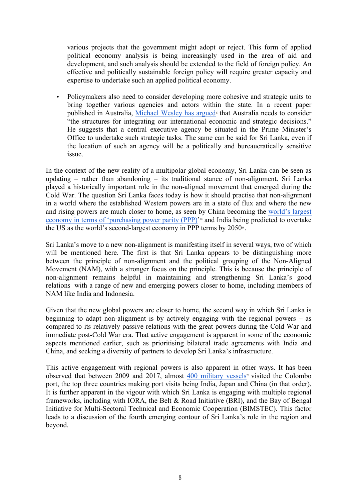various projects that the government might adopt or reject. This form of applied political economy analysis is being increasingly used in the area of aid and development, and such analysis should be extended to the field of foreign policy. An effective and politically sustainable foreign policy will require greater capacity and expertise to undertake such an applied political economy.

• Policymakers also need to consider developing more cohesive and strategic units to bring together various agencies and actors within the state. In a recent paper published in Australia, Michael Wesley has argued<sup>17</sup> that Australia needs to consider "the structures for integrating our international economic and strategic decisions." He suggests that a central executive agency be situated in the Prime Minister's Office to undertake such strategic tasks. The same can be said for Sri Lanka, even if the location of such an agency will be a politically and bureaucratically sensitive issue.

In the context of the new reality of a multipolar global economy, Sri Lanka can be seen as updating – rather than abandoning – its traditional stance of non-alignment. Sri Lanka played a historically important role in the non-aligned movement that emerged during the Cold War. The question Sri Lanka faces today is how it should practise that non-alignment in a world where the established Western powers are in a state of flux and where the new and rising powers are much closer to home, as seen by China becoming the world's largest economy in terms of 'purchasing power parity (PPP)'<sup>18</sup> and India being predicted to overtake the US as the world's second-largest economy in PPP terms by 2050<sup>19</sup>.

Sri Lanka's move to a new non-alignment is manifesting itself in several ways, two of which will be mentioned here. The first is that Sri Lanka appears to be distinguishing more between the principle of non-alignment and the political grouping of the Non-Aligned Movement (NAM), with a stronger focus on the principle. This is because the principle of non-alignment remains helpful in maintaining and strengthening Sri Lanka's good relations with a range of new and emerging powers closer to home, including members of NAM like India and Indonesia.

Given that the new global powers are closer to home, the second way in which Sri Lanka is beginning to adapt non-alignment is by actively engaging with the regional powers – as compared to its relatively passive relations with the great powers during the Cold War and immediate post-Cold War era. That active engagement is apparent in some of the economic aspects mentioned earlier, such as prioritising bilateral trade agreements with India and China, and seeking a diversity of partners to develop Sri Lanka's infrastructure.

This active engagement with regional powers is also apparent in other ways. It has been observed that between 2009 and 2017, almost  $400$  military vessels<sup>20</sup> visited the Colombo port, the top three countries making port visits being India, Japan and China (in that order). It is further apparent in the vigour with which Sri Lanka is engaging with multiple regional frameworks, including with IORA, the Belt & Road Initiative (BRI), and the Bay of Bengal Initiative for Multi-Sectoral Technical and Economic Cooperation (BIMSTEC). This factor leads to a discussion of the fourth emerging contour of Sri Lanka's role in the region and beyond.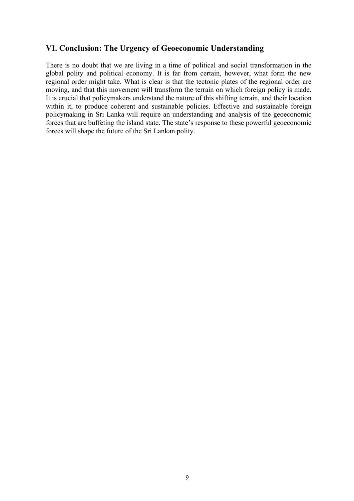## **VI. Conclusion: The Urgency of Geoeconomic Understanding**

There is no doubt that we are living in a time of political and social transformation in the global polity and political economy. It is far from certain, however, what form the new regional order might take. What is clear is that the tectonic plates of the regional order are moving, and that this movement will transform the terrain on which foreign policy is made. It is crucial that policymakers understand the nature of this shifting terrain, and their location within it, to produce coherent and sustainable policies. Effective and sustainable foreign policymaking in Sri Lanka will require an understanding and analysis of the geoeconomic forces that are buffeting the island state. The state's response to these powerful geoeconomic forces will shape the future of the Sri Lankan polity.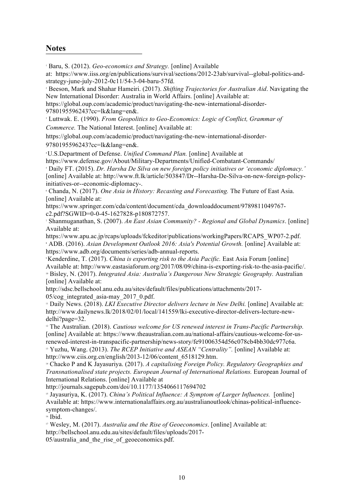### **Notes**

<sup>1</sup> Baru, S. (2012). *Geo-economics and Strategy.* [online] Available

at: https://www.iiss.org/en/publications/survival/sections/2012-23ab/survival--global-politics-andstrategy-june-july-2012-0c11/54-3-04-baru-57fd.

<sup>2</sup> Beeson, Mark and Shahar Hameiri. (2017). *Shifting Trajectories for Australian Aid*. Navigating the New International Disorder: Australia in World Affairs. [online] Available at:

https://global.oup.com/academic/product/navigating-the-new-international-disorder-9780195596243?cc=lk&lang=en&.

<sup>3</sup> Luttwak. E. (1990). *From Geopolitics to Geo-Economics: Logic of Conflict, Grammar of* 

*Commerce.* The National Interest. [online] Available at:

https://global.oup.com/academic/product/navigating-the-new-international-disorder-

9780195596243?cc=lk&lang=en&.

4 U.S.Department of Defense. *Unified Command Plan.* [online] Available at

https://www.defense.gov/About/Military-Departments/Unified-Combatant-Commands/

<sup>5</sup> Daily FT. (2015). *Dr. Harsha De Silva on new foreign policy initiatives or 'economic diplomacy.'*  [online] Available at: http://www.ft.lk/article/503847/Dr--Harsha-De-Silva-on-new-foreign-policyinitiatives-or--economic-diplomacy-.

<sup>6</sup> Chanda, N. (2017). *One Asia in History: Recasting and Forecasting.* The Future of East Asia. [online] Available at:

https://www.springer.com/cda/content/document/cda\_downloaddocument/9789811049767 c2.pdf?SGWID=0-0-45-1627828-p180872757.

<sup>7</sup> Shanmuganathan, S. (2007). *An East Asian Community? - Regional and Global Dynamics*. [online] Available at:

https://www.apu.ac.jp/rcaps/uploads/fckeditor/publications/workingPapers/RCAPS\_WP07-2.pdf. <sup>8</sup> ADB. (2016). *Asian Development Outlook 2016: Asia's Potential Growth.* [online] Available at: https://www.adb.org/documents/series/adb-annual-reports.

9 Kenderdine, T. (2017). *China is exporting risk to the Asia Pacific.* East Asia Forum [online] Available at: http://www.eastasiaforum.org/2017/08/09/china-is-exporting-risk-to-the-asia-pacific/. <sup>10</sup> Bisley, N. (2017). *Integrated Asia: Australia's Dangerous New Strategic Geography.* Australian [online] Available at:

http://sdsc.bellschool.anu.edu.au/sites/default/files/publications/attachments/2017- 05/cog\_integrated\_asia-may\_2017\_0.pdf.

<sup>11</sup> Daily News. (2018). *LKI Executive Director delivers lecture in New Delhi.* [online] Available at: http://www.dailynews.lk/2018/02/01/local/141559/lki-executive-director-delivers-lecture-newdelhi?page=32.

<sup>12</sup> The Australian. (2018). *Cautious welcome for US renewed interest in Trans-Pacific Partnership.* [online] Available at: https://www.theaustralian.com.au/national-affairs/cautious-welcome-for-usrenewed-interest-in-transpacific-partnership/news-story/fe91006354d56c078cb4bb30dc977c6a.

<sup>13</sup> Yuzhu, Wang. (2013). *The RCEP Initiative and ASEAN "Centrality".* [online] Available at: http://www.ciis.org.cn/english/2013-12/06/content\_6518129.htm.

<sup>14</sup> Chacko P and K Jayasuriya. (2017). *A capitalising Foreign Policy. Regulatory Geographies and Transnationalised state projects. European Journal of International Relations.* European Journal of International Relations. [online] Available at

http://journals.sagepub.com/doi/10.1177/1354066117694702

<sup>15</sup> Jayasuriya, K. (2017). *China's Political Influence: A Symptom of Larger Influences.* [online] Available at: https://www.internationalaffairs.org.au/australianoutlook/chinas-political-influencesymptom-changes/.

<sup>16</sup> Ibid.

<sup>17</sup> Wesley, M. (2017). *Australia and the Rise of Geoeconomics*. [online] Available at: http://bellschool.anu.edu.au/sites/default/files/uploads/2017- 05/australia\_and\_the\_rise\_of\_geoeconomics.pdf.

10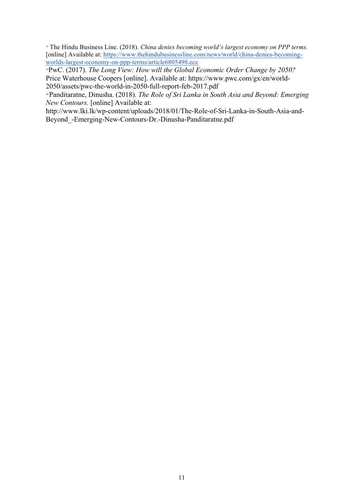<sup>18</sup> The Hindu Business Line. (2018). *China denies becoming world's largest economy on PPP terms.* [online] Available at: https://www.thehindubusinessline.com/news/world/china-denies-becomingworlds-largest-economy-on-ppp-terms/article6805498.ece

19PwC. (2017). *The Long View: How will the Global Economic Order Change by 2050?* Price Waterhouse Coopers [online]. Available at: https://www.pwc.com/gx/en/world-2050/assets/pwc-the-world-in-2050-full-report-feb-2017.pdf

20 Panditaratne, Dinusha. (2018). *The Role of Sri Lanka in South Asia and Beyond: Emerging New Contours.* [online] Available at:

http://www.lki.lk/wp-content/uploads/2018/01/The-Role-of-Sri-Lanka-in-South-Asia-and-Beyond\_-Emerging-New-Contours-Dr.-Dinusha-Panditaratne.pdf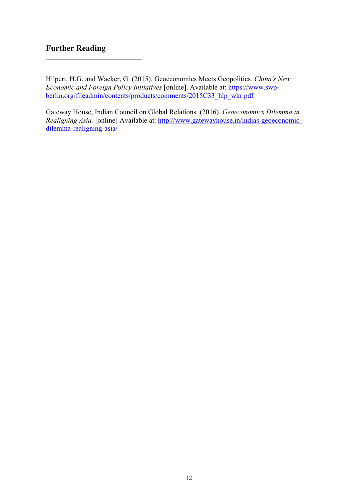## **Further Reading**

Hilpert, H.G. and Wacker, G. (2015). Geoeconomics Meets Geopolitics*. China's New Economic and Foreign Policy Initiatives* [online]. Available at: https://www.swpberlin.org/fileadmin/contents/products/comments/2015C33\_hlp\_wkr.pdf

Gateway House, Indian Council on Global Relations. (2016). *Geoeconomics Dilemma in Realigning Asia.* [online] Available at: http://www.gatewayhouse.in/indias-geoeconomicdilemma-realigning-asia/